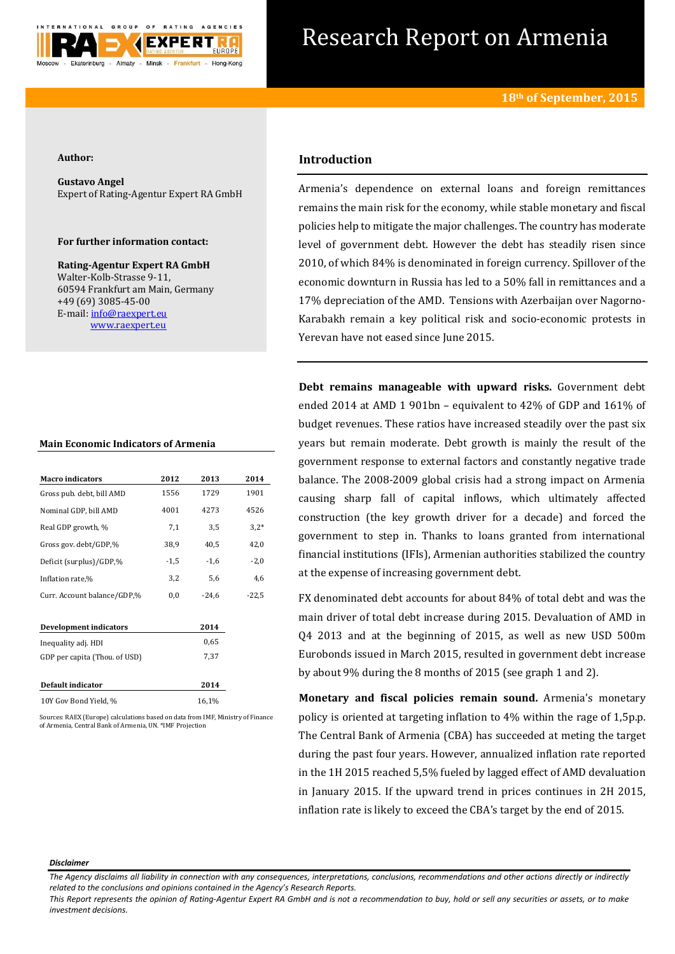

# Research Report on Armenia

#### **Author:**

**Gustavo Angel** Expert of Rating-Agentur Expert RA GmbH

# **For further information contact:**

**Rating-Agentur Expert RA GmbH** Walter-Kolb-Strasse 9-11, 60594 Frankfurt am Main, Germany +49 (69) 3085-45-00 E-mail[: info@raexpert.eu](mailto:info@raexpert.eu) [www.raexpert.eu](http://raexpert.eu/)

### **Main Economic Indicators of Armenia**

| <b>Macro</b> indicators       | 2012   | 2013    | 2014    |
|-------------------------------|--------|---------|---------|
| Gross pub. debt, bill AMD     | 1556   | 1729    | 1901    |
| Nominal GDP, bill AMD         | 4001   | 4273    | 4526    |
| Real GDP growth, %            | 7,1    | 3,5     | $3,2*$  |
| Gross gov. debt/GDP,%         | 38,9   | 40,5    | 42,0    |
| Deficit (surplus)/GDP,%       | $-1,5$ | $-1,6$  | $-2,0$  |
| Inflation rate,%              | 3,2    | 5,6     | 4,6     |
| Curr. Account balance/GDP,%   | 0,0    | $-24,6$ | $-22,5$ |
| Development indicators        |        | 2014    |         |
| Inequality adj. HDI           |        | 0.65    |         |
| GDP per capita (Thou. of USD) |        | 7,37    |         |
| Default indicator             |        | 2014    |         |
| 10Y Gov Bond Yield, %         |        | 16,1%   |         |
|                               |        |         |         |

Sources: RAEX (Europe) calculations based on data from IMF, Ministry of Finance of Armenia, Central Bank of Armenia, UN. \*IMF Projection

# **Introduction**

Armenia's dependence on external loans and foreign remittances remains the main risk for the economy, while stable monetary and fiscal policies help to mitigate the major challenges. The country has moderate level of government debt. However the debt has steadily risen since 2010, of which 84% is denominated in foreign currency. Spillover of the economic downturn in Russia has led to a 50% fall in remittances and a 17% depreciation of the AMD. Tensions with Azerbaijan over Nagorno-Karabakh remain a key political risk and socio-economic protests in Yerevan have not eased since June 2015.

**Debt remains manageable with upward risks.** Government debt ended 2014 at AMD 1 901bn – equivalent to 42% of GDP and 161% of budget revenues. These ratios have increased steadily over the past six years but remain moderate. Debt growth is mainly the result of the government response to external factors and constantly negative trade balance. The 2008-2009 global crisis had a strong impact on Armenia causing sharp fall of capital inflows, which ultimately affected construction (the key growth driver for a decade) and forced the government to step in. Thanks to loans granted from international financial institutions (IFIs), Armenian authorities stabilized the country at the expense of increasing government debt.

FX denominated debt accounts for about 84% of total debt and was the main driver of total debt increase during 2015. Devaluation of AMD in Q4 2013 and at the beginning of 2015, as well as new USD 500m Eurobonds issued in March 2015, resulted in government debt increase by about 9% during the 8 months of 2015 (see graph 1 and 2).

**Monetary and fiscal policies remain sound.** Armenia's monetary policy is oriented at targeting inflation to 4% within the rage of 1,5p.p. The Central Bank of Armenia (CBA) has succeeded at meting the target during the past four years. However, annualized inflation rate reported in the 1H 2015 reached 5,5% fueled by lagged effect of AMD devaluation in January 2015. If the upward trend in prices continues in 2H 2015, inflation rate is likely to exceed the CBA's target by the end of 2015.

#### *Disclaimer*

*This Report represents the opinion of Rating-Agentur Expert RA GmbH and is not a recommendation to buy, hold or sell any securities or assets, or to make investment decisions.*

*The Agency disclaims all liability in connection with any consequences, interpretations, conclusions, recommendations and other actions directly or indirectly related to the conclusions and opinions contained in the Agency's Research Reports.*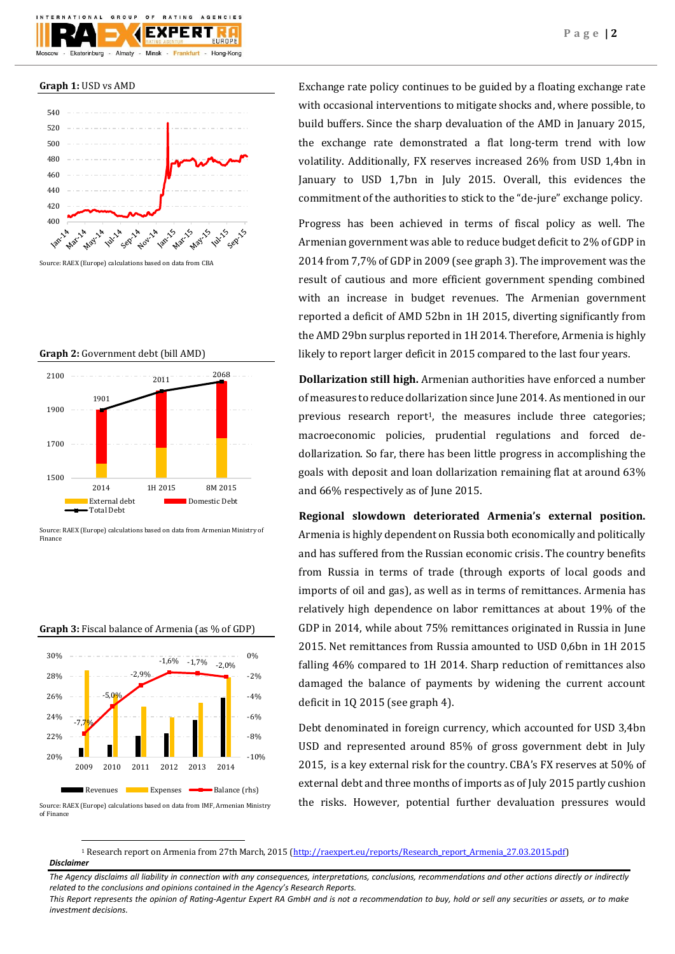**Graph 1:** USD vs AMD



Source: RAEX (Europe) calculations based on data from CBA

## **Graph 2:** Government debt (bill AMD)





# **Graph 3:** Fiscal balance of Armenia (as % of GDP)



Source: RAEX (Europe) calculations based on data from IMF, Armenian Ministry of Finance

**.** 

Exchange rate policy continues to be guided by a floating exchange rate with occasional interventions to mitigate shocks and, where possible, to build buffers. Since the sharp devaluation of the AMD in January 2015, the exchange rate demonstrated a flat long-term trend with low volatility. Additionally, FX reserves increased 26% from USD 1,4bn in January to USD 1,7bn in July 2015. Overall, this evidences the commitment of the authorities to stick to the "de-jure" exchange policy.

Progress has been achieved in terms of fiscal policy as well. The Armenian government was able to reduce budget deficit to 2% of GDP in 2014 from 7,7% of GDP in 2009 (see graph 3). The improvement was the result of cautious and more efficient government spending combined with an increase in budget revenues. The Armenian government reported a deficit of AMD 52bn in 1H 2015, diverting significantly from the AMD 29bn surplus reported in 1H 2014. Therefore, Armenia is highly likely to report larger deficit in 2015 compared to the last four years.

**Dollarization still high.** Armenian authorities have enforced a number of measures to reduce dollarization since June 2014. As mentioned in our previous research report<sup>1</sup>, the measures include three categories; macroeconomic policies, prudential regulations and forced dedollarization. So far, there has been little progress in accomplishing the goals with deposit and loan dollarization remaining flat at around 63% and 66% respectively as of June 2015.

**Regional slowdown deteriorated Armenia's external position.**  Armenia is highly dependent on Russia both economically and politically and has suffered from the Russian economic crisis. The country benefits from Russia in terms of trade (through exports of local goods and imports of oil and gas), as well as in terms of remittances. Armenia has relatively high dependence on labor remittances at about 19% of the GDP in 2014, while about 75% remittances originated in Russia in June 2015. Net remittances from Russia amounted to USD 0,6bn in 1H 2015 falling 46% compared to 1H 2014. Sharp reduction of remittances also damaged the balance of payments by widening the current account deficit in 1Q 2015 (see graph 4).

Debt denominated in foreign currency, which accounted for USD 3,4bn USD and represented around 85% of gross government debt in July 2015, is a key external risk for the country. CBA's FX reserves at 50% of external debt and three months of imports as of July 2015 partly cushion the risks. However, potential further devaluation pressures would

*Disclaimer*  <sup>1</sup> Research report on Armenia from 27th March, 2015 [\(http://raexpert.eu/reports/Research\\_report\\_Armenia\\_27.03.2015.pdf\)](http://raexpert.eu/reports/Research_report_Armenia_27.03.2015.pdf)

*The Agency disclaims all liability in connection with any consequences, interpretations, conclusions, recommendations and other actions directly or indirectly related to the conclusions and opinions contained in the Agency's Research Reports.*

*This Report represents the opinion of Rating-Agentur Expert RA GmbH and is not a recommendation to buy, hold or sell any securities or assets, or to make investment decisions.*